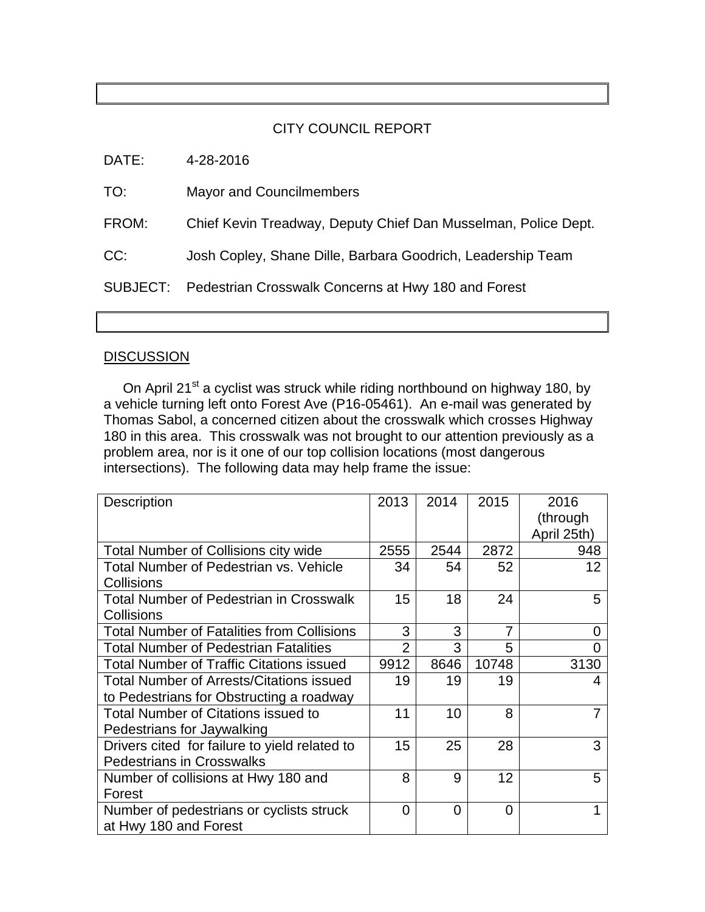## CITY COUNCIL REPORT

DATE: 4-28-2016

TO: Mayor and Councilmembers

FROM: Chief Kevin Treadway, Deputy Chief Dan Musselman, Police Dept.

CC: Josh Copley, Shane Dille, Barbara Goodrich, Leadership Team

SUBJECT: Pedestrian Crosswalk Concerns at Hwy 180 and Forest

## **DISCUSSION**

On April 21<sup>st</sup> a cyclist was struck while riding northbound on highway 180, by a vehicle turning left onto Forest Ave (P16-05461). An e-mail was generated by Thomas Sabol, a concerned citizen about the crosswalk which crosses Highway 180 in this area. This crosswalk was not brought to our attention previously as a problem area, nor is it one of our top collision locations (most dangerous intersections). The following data may help frame the issue:

| <b>Description</b>                                | 2013           | 2014 | 2015           | 2016        |
|---------------------------------------------------|----------------|------|----------------|-------------|
|                                                   |                |      |                | (through    |
|                                                   |                |      |                | April 25th) |
| <b>Total Number of Collisions city wide</b>       | 2555           | 2544 | 2872           | 948         |
| Total Number of Pedestrian vs. Vehicle            | 34             | 54   | 52             | 12          |
| Collisions                                        |                |      |                |             |
| <b>Total Number of Pedestrian in Crosswalk</b>    | 15             | 18   | 24             | 5           |
| Collisions                                        |                |      |                |             |
| <b>Total Number of Fatalities from Collisions</b> | 3              | 3    | $\overline{7}$ | 0           |
| <b>Total Number of Pedestrian Fatalities</b>      | $\overline{2}$ | 3    | 5              |             |
| <b>Total Number of Traffic Citations issued</b>   | 9912           | 8646 | 10748          | 3130        |
| <b>Total Number of Arrests/Citations issued</b>   | 19             | 19   | 19             | 4           |
| to Pedestrians for Obstructing a roadway          |                |      |                |             |
| <b>Total Number of Citations issued to</b>        | 11             | 10   | 8              |             |
| Pedestrians for Jaywalking                        |                |      |                |             |
| Drivers cited for failure to yield related to     | 15             | 25   | 28             | 3           |
| <b>Pedestrians in Crosswalks</b>                  |                |      |                |             |
| Number of collisions at Hwy 180 and               | 8              | 9    | 12             | 5           |
| Forest                                            |                |      |                |             |
| Number of pedestrians or cyclists struck          | 0              | 0    | 0              |             |
| at Hwy 180 and Forest                             |                |      |                |             |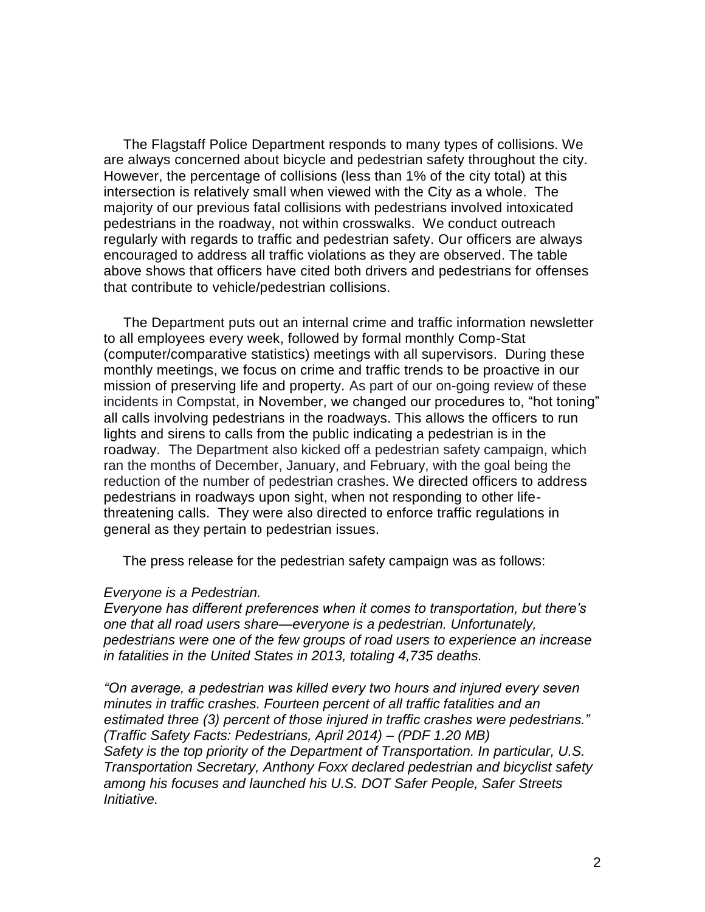The Flagstaff Police Department responds to many types of collisions. We are always concerned about bicycle and pedestrian safety throughout the city. However, the percentage of collisions (less than 1% of the city total) at this intersection is relatively small when viewed with the City as a whole. The majority of our previous fatal collisions with pedestrians involved intoxicated pedestrians in the roadway, not within crosswalks. We conduct outreach regularly with regards to traffic and pedestrian safety. Our officers are always encouraged to address all traffic violations as they are observed. The table above shows that officers have cited both drivers and pedestrians for offenses that contribute to vehicle/pedestrian collisions.

 The Department puts out an internal crime and traffic information newsletter to all employees every week, followed by formal monthly Comp-Stat (computer/comparative statistics) meetings with all supervisors. During these monthly meetings, we focus on crime and traffic trends to be proactive in our mission of preserving life and property. As part of our on-going review of these incidents in Compstat, in November, we changed our procedures to, "hot toning" all calls involving pedestrians in the roadways. This allows the officers to run lights and sirens to calls from the public indicating a pedestrian is in the roadway. The Department also kicked off a pedestrian safety campaign, which ran the months of December, January, and February, with the goal being the reduction of the number of pedestrian crashes. We directed officers to address pedestrians in roadways upon sight, when not responding to other lifethreatening calls. They were also directed to enforce traffic regulations in general as they pertain to pedestrian issues.

The press release for the pedestrian safety campaign was as follows:

## *Everyone is a Pedestrian.*

*Everyone has different preferences when it comes to transportation, but there's one that all road users share—everyone is a pedestrian. Unfortunately, pedestrians were one of the few groups of road users to experience an increase in fatalities in the United States in 2013, totaling 4,735 deaths.*

*"On average, a pedestrian was killed every two hours and injured every seven minutes in traffic crashes. Fourteen percent of all traffic fatalities and an estimated three (3) percent of those injured in traffic crashes were pedestrians." (Traffic Safety Facts: Pedestrians, April 2014) – (PDF 1.20 MB) Safety is the top priority of the Department of Transportation. In particular, U.S. Transportation Secretary, Anthony Foxx declared pedestrian and bicyclist safety among his focuses and launched his U.S. DOT Safer People, Safer Streets Initiative.*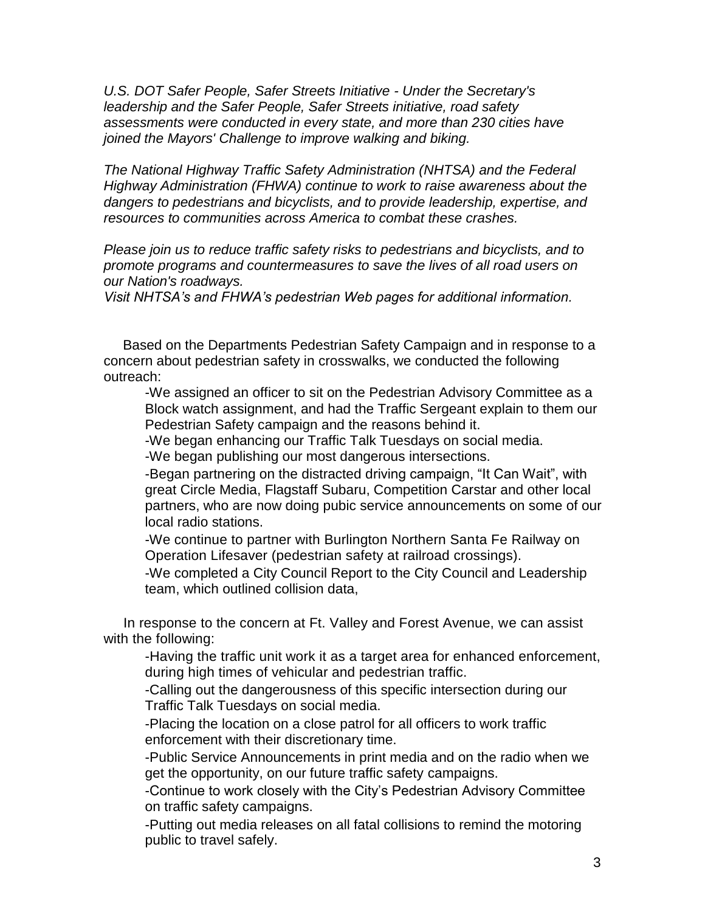*U.S. DOT Safer People, Safer Streets Initiative - Under the Secretary's leadership and the Safer People, Safer Streets initiative, road safety assessments were conducted in every state, and more than 230 cities have joined the Mayors' Challenge to improve walking and biking.*

*The National Highway Traffic Safety Administration (NHTSA) and the Federal Highway Administration (FHWA) continue to work to raise awareness about the dangers to pedestrians and bicyclists, and to provide leadership, expertise, and resources to communities across America to combat these crashes.* 

*Please join us to reduce traffic safety risks to pedestrians and bicyclists, and to promote programs and countermeasures to save the lives of all road users on our Nation's roadways.*

*Visit NHTSA's and FHWA's pedestrian Web pages for additional information.*

 Based on the Departments Pedestrian Safety Campaign and in response to a concern about pedestrian safety in crosswalks, we conducted the following outreach:

-We assigned an officer to sit on the Pedestrian Advisory Committee as a Block watch assignment, and had the Traffic Sergeant explain to them our Pedestrian Safety campaign and the reasons behind it.

-We began enhancing our Traffic Talk Tuesdays on social media. -We began publishing our most dangerous intersections.

-Began partnering on the distracted driving campaign, "It Can Wait", with great Circle Media, Flagstaff Subaru, Competition Carstar and other local partners, who are now doing pubic service announcements on some of our local radio stations.

-We continue to partner with Burlington Northern Santa Fe Railway on Operation Lifesaver (pedestrian safety at railroad crossings).

-We completed a City Council Report to the City Council and Leadership team, which outlined collision data,

 In response to the concern at Ft. Valley and Forest Avenue, we can assist with the following:

-Having the traffic unit work it as a target area for enhanced enforcement, during high times of vehicular and pedestrian traffic.

-Calling out the dangerousness of this specific intersection during our Traffic Talk Tuesdays on social media.

-Placing the location on a close patrol for all officers to work traffic enforcement with their discretionary time.

-Public Service Announcements in print media and on the radio when we get the opportunity, on our future traffic safety campaigns.

-Continue to work closely with the City's Pedestrian Advisory Committee on traffic safety campaigns.

-Putting out media releases on all fatal collisions to remind the motoring public to travel safely.